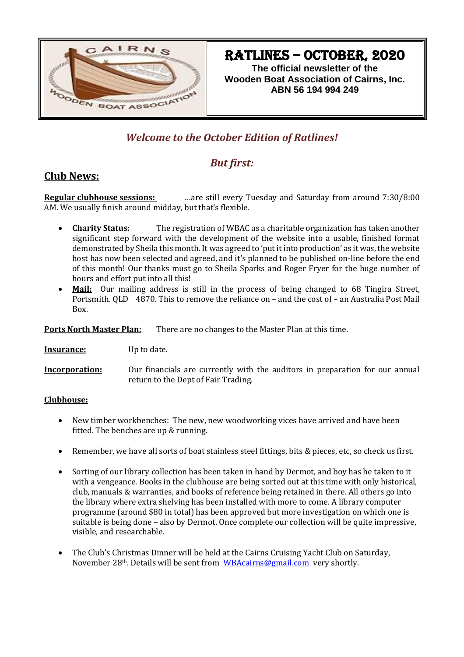

# RATLINES – OCTOBER, 2020

**The official newsletter of the Wooden Boat Association of Cairns, Inc. ABN 56 194 994 249**

# *Welcome to the October Edition of Ratlines!*

## *But first:*

### **Club News:**

**Regular clubhouse sessions:** …are still every Tuesday and Saturday from around 7:30/8:00 AM. We usually finish around midday, but that's flexible.

- **Charity Status:** The registration of WBAC as a charitable organization has taken another significant step forward with the development of the website into a usable, finished format demonstrated by Sheila this month. It was agreed to 'put it into production' as it was, the website host has now been selected and agreed, and it's planned to be published on-line before the end of this month! Our thanks must go to Sheila Sparks and Roger Fryer for the huge number of hours and effort put into all this!
- **Mail:** Our mailing address is still in the process of being changed to 68 Tingira Street, Portsmith. QLD 4870. This to remove the reliance on – and the cost of – an Australia Post Mail Box.

**Ports North Master Plan:** There are no changes to the Master Plan at this time.

**Insurance:** Up to date.

**Incorporation:** Our financials are currently with the auditors in preparation for our annual return to the Dept of Fair Trading.

#### **Clubhouse:**

- New timber workbenches: The new, new woodworking vices have arrived and have been fitted. The benches are up & running.
- Remember, we have all sorts of boat stainless steel fittings, bits & pieces, etc, so check us first.
- Sorting of our library collection has been taken in hand by Dermot, and boy has he taken to it with a vengeance. Books in the clubhouse are being sorted out at this time with only historical, club, manuals & warranties, and books of reference being retained in there. All others go into the library where extra shelving has been installed with more to come. A library computer programme (around \$80 in total) has been approved but more investigation on which one is suitable is being done – also by Dermot. Once complete our collection will be quite impressive, visible, and researchable.
- The Club's Christmas Dinner will be held at the Cairns Cruising Yacht Club on Saturday, November 28th. Details will be sent from [WBAcairns@gmail.com](mailto:WBAcairns@gmail.com) very shortly.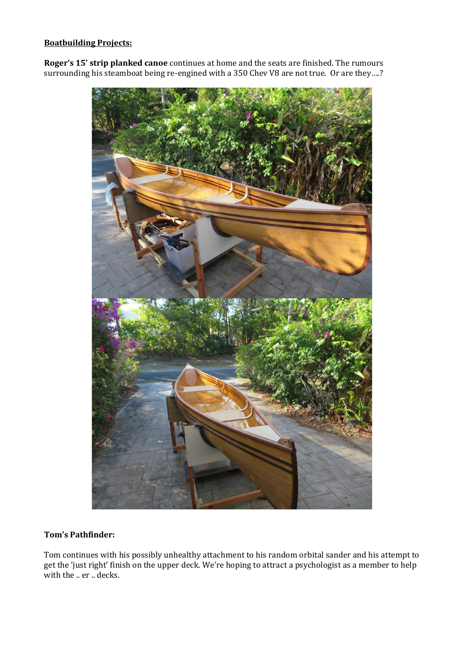#### **Boatbuilding Projects:**

**Roger's 15' strip planked canoe** continues at home and the seats are finished. The rumours surrounding his steamboat being re-engined with a 350 Chev V8 are not true. Or are they….?



#### **Tom's Pathfinder:**

Tom continues with his possibly unhealthy attachment to his random orbital sander and his attempt to get the 'just right' finish on the upper deck. We're hoping to attract a psychologist as a member to help with the .. er .. decks.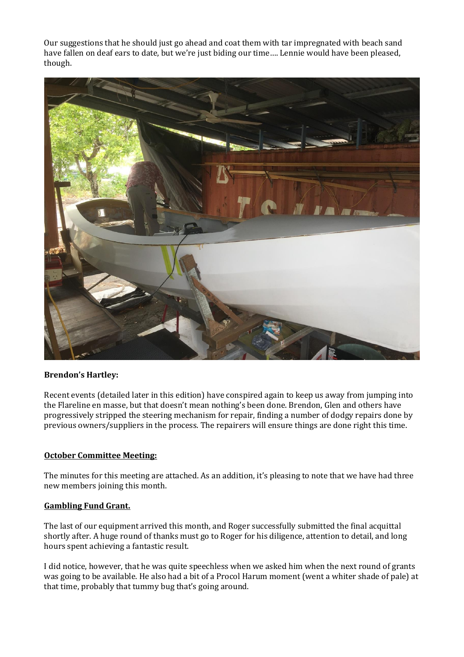Our suggestions that he should just go ahead and coat them with tar impregnated with beach sand have fallen on deaf ears to date, but we're just biding our time…. Lennie would have been pleased, though.



#### **Brendon's Hartley:**

Recent events (detailed later in this edition) have conspired again to keep us away from jumping into the Flareline en masse, but that doesn't mean nothing's been done. Brendon, Glen and others have progressively stripped the steering mechanism for repair, finding a number of dodgy repairs done by previous owners/suppliers in the process. The repairers will ensure things are done right this time.

#### **October Committee Meeting:**

The minutes for this meeting are attached. As an addition, it's pleasing to note that we have had three new members joining this month.

#### **Gambling Fund Grant.**

The last of our equipment arrived this month, and Roger successfully submitted the final acquittal shortly after. A huge round of thanks must go to Roger for his diligence, attention to detail, and long hours spent achieving a fantastic result.

I did notice, however, that he was quite speechless when we asked him when the next round of grants was going to be available. He also had a bit of a Procol Harum moment (went a whiter shade of pale) at that time, probably that tummy bug that's going around.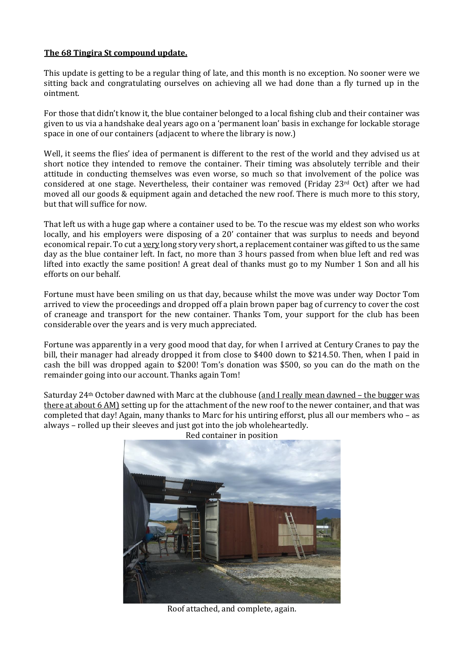#### **The 68 Tingira St compound update.**

This update is getting to be a regular thing of late, and this month is no exception. No sooner were we sitting back and congratulating ourselves on achieving all we had done than a fly turned up in the ointment.

For those that didn't know it, the blue container belonged to a local fishing club and their container was given to us via a handshake deal years ago on a 'permanent loan' basis in exchange for lockable storage space in one of our containers (adjacent to where the library is now.)

Well, it seems the flies' idea of permanent is different to the rest of the world and they advised us at short notice they intended to remove the container. Their timing was absolutely terrible and their attitude in conducting themselves was even worse, so much so that involvement of the police was considered at one stage. Nevertheless, their container was removed (Friday  $23<sup>rd</sup>$  Oct) after we had moved all our goods & equipment again and detached the new roof. There is much more to this story, but that will suffice for now.

That left us with a huge gap where a container used to be. To the rescue was my eldest son who works locally, and his employers were disposing of a 20' container that was surplus to needs and beyond economical repair. To cut a very long story very short, a replacement container was gifted to us the same day as the blue container left. In fact, no more than 3 hours passed from when blue left and red was lifted into exactly the same position! A great deal of thanks must go to my Number 1 Son and all his efforts on our behalf.

Fortune must have been smiling on us that day, because whilst the move was under way Doctor Tom arrived to view the proceedings and dropped off a plain brown paper bag of currency to cover the cost of craneage and transport for the new container. Thanks Tom, your support for the club has been considerable over the years and is very much appreciated.

Fortune was apparently in a very good mood that day, for when I arrived at Century Cranes to pay the bill, their manager had already dropped it from close to \$400 down to \$214.50. Then, when I paid in cash the bill was dropped again to \$200! Tom's donation was \$500, so you can do the math on the remainder going into our account. Thanks again Tom!

Saturday 24<sup>th</sup> October dawned with Marc at the clubhouse (and I really mean dawned – the bugger was there at about 6 AM) setting up for the attachment of the new roof to the newer container, and that was completed that day! Again, many thanks to Marc for his untiring efforst, plus all our members who – as always – rolled up their sleeves and just got into the job wholeheartedly.



Red container in position

Roof attached, and complete, again.